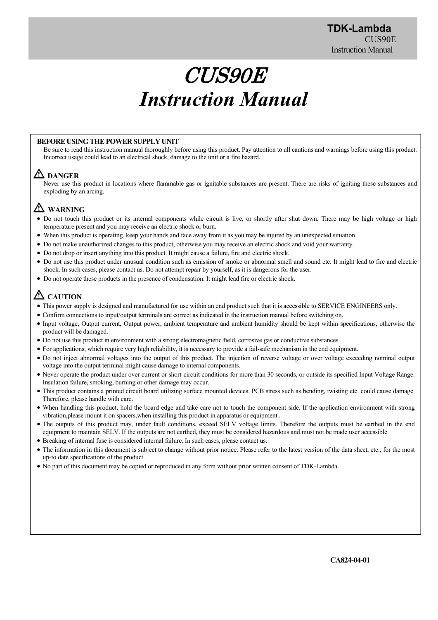# CUS90E *Instruction Manual*

### **BEFORE USING THE POWER SUPPLY UNIT**

Be sure to read this instruction manual thoroughly before using this product. Pay attention to all cautions and warnings before using this product. Incorrect usage could lead to an electrical shock, damage to the unit or a fire hazard.

# **DANGER**

Never use this product in locations where flammable gas or ignitable substances are present. There are risks of igniting these substances and exploding by an arcing.

# **WARNING**

- Do not touch this product or its internal components while circuit is live, or shortly after shut down. There may be high voltage or high temperature present and you may receive an electric shock or burn.
- When this product is operating, keep your hands and face away from it as you may be injured by an unexpected situation.
- Do not make unauthorized changes to this product, otherwise you may receive an electric shock and void your warranty.
- Do not drop or insert anything into this product. It might cause a failure, fire and electric shock.
- Do not use this product under unusual condition such as emission of smoke or abnormal smell and sound etc. It might lead to fire and electric shock. In such cases, please contact us. Do not attempt repair by yourself, as it is dangerous for the user.
- Do not operate these products in the presence of condensation. It might lead fire or electric shock.

# **ZAUTION**

- This power supply is designed and manufactured for use within an end product such that it is accessible to SERVICE ENGINEERS only.
- Confirm connections to input/output terminals are correct as indicated in the instruction manual before switching on.
- Input voltage, Output current, Output power, ambient temperature and ambient humidity should be kept within specifications, otherwise the product will be damaged.
- Do not use this product in environment with a strong electromagnetic field, corrosive gas or conductive substances.
- For applications, which require very high reliability, it is necessary to provide a fail-safe mechanism in the end equipment.
- Do not inject abnormal voltages into the output of this product. The injection of reverse voltage or over voltage exceeding nominal output voltage into the output terminal might cause damage to internal components.
- Never operate the product under over current or short-circuit conditions for more than 30 seconds, or outside its specified Input Voltage Range. Insulation failure, smoking, burning or other damage may occur.
- This product contains a printed circuit board utilizing surface mounted devices. PCB stress such as bending, twisting etc. could cause damage. Therefore, please handle with care.
- When handling this product, hold the board edge and take care not to touch the component side. If the application environment with strong vibration,please mount it on spacers,when installing this product in apparatus or equipment .
- The outputs of this product may, under fault conditions, exceed SELV voltage limits. Therefore the outputs must be earthed in the end equipment to maintain SELV. If the outputs are not earthed, they must be considered hazardous and must not be made user accessible.
- Breaking of internal fuse is considered internal failure. In such cases, please contact us.
- The information in this document is subject to change without prior notice. Please refer to the latest version of the data sheet, etc., for the most up-to date specifications of the product.
- No part of this document may be copied or reproduced in any form without prior written consent of TDK-Lambda.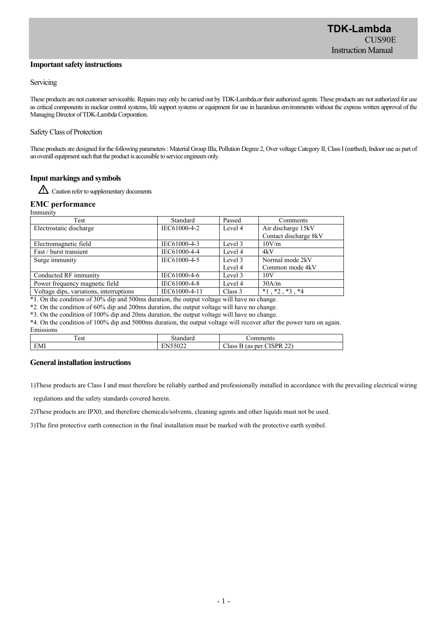#### **Important safety instructions**

#### Servicing

These products are not customer serviceable. Repairs may only be carried out by TDK-Lambda.or their authorized agents. These products are not authorized for use as critical components in nuclear control systems, life support systems or equipment for use in hazardous environments without the express written approval of the Managing Director of TDK-Lambda Corporation.

#### Safety Class of Protection

These products are designed for the following parameters : Material Group IIIa, Pollution Degree 2, Over voltage Category II, Class I (earthed), Indoor use as part of an overall equipment such that the product is accessible to service engineers only.

### **Input markings and symbols**

Caution refer to supplementary documents

#### **EMC performance**

| Immunity                                |                                                                                                                 |         |                           |  |
|-----------------------------------------|-----------------------------------------------------------------------------------------------------------------|---------|---------------------------|--|
| Test                                    | Standard                                                                                                        | Passed  | Comments                  |  |
| Electrostatic discharge                 | IEC61000-4-2                                                                                                    | Level 4 | Air discharge 15kV        |  |
|                                         |                                                                                                                 |         | Contact discharge 8kV     |  |
| Electromagnetic field                   | IEC61000-4-3                                                                                                    | Level 3 | 10V/m                     |  |
| Fast / burst transient                  | IEC61000-4-4                                                                                                    | Level 4 | 4kV                       |  |
| Surge immunity                          | IEC61000-4-5                                                                                                    | Level 3 | Normal mode 2kV           |  |
|                                         |                                                                                                                 | Level 4 | Common mode 4kV           |  |
| Conducted RF immunity                   | IEC61000-4-6                                                                                                    | Level 3 | 10V                       |  |
| Power frequency magnetic field          | IEC61000-4-8                                                                                                    | Level 4 | 30A/m                     |  |
| Voltage dips, variations, interruptions | IEC61000-4-11                                                                                                   | Class 3 | $*1$ , $*2$ , $*3$ , $*4$ |  |
| $+1$ $-1$ $+1$ $-200$ $+1$ $-1$ $-00$   | the second contract of the second second and the second second second second second second second second second | 111.1   |                           |  |

\*1. On the condition of 30% dip and 500ms duration, the output voltage will have no change.

\*2. On the condition of 60% dip and 200ms duration, the output voltage will have no change. \*3. On the condition of 100% dip and 20ms duration, the output voltage will have no change.

\*4. On the condition of 100% dip and 5000ms duration, the output voltage will recover after the power turn on again.

Emissions

| $\overline{ }$<br>$\Delta$ C1<br>1 CSL | $  -$             | $1.488 \times 10^{-4}$<br>м<br>.<br>41 L C                    |
|----------------------------------------|-------------------|---------------------------------------------------------------|
| T <sub>1</sub><br>EMI                  | $-0.00$<br>ے تا ت | $\sim$<br>$-1$<br>cnn<br>ner<br>Aass<br>'as<br>Рю<br>- -<br>- |

#### **General installation instructions**

1)These products are Class Ⅰ and must therefore be reliably earthed and professionally installed in accordance with the prevailing electrical wiring

regulations and the safety standards covered herein.

2)These products are IPX0, and therefore chemicals/solvents, cleaning agents and other liquids must not be used.

3)The first protective earth connection in the final installation must be marked with the protective earth symbol.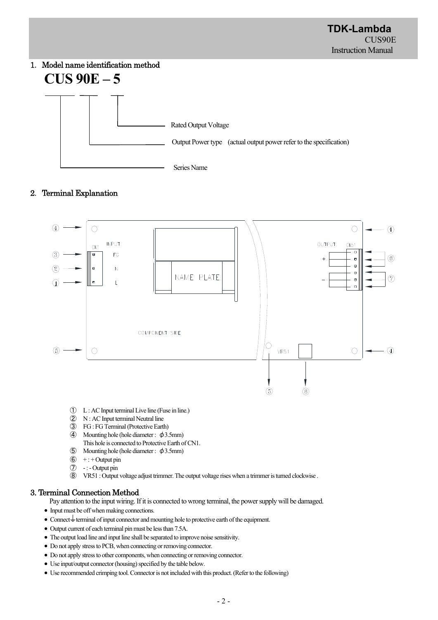# 1.Model name identification method **CUS 90E – 5**



# 2.Terminal Explanation



- ① L : AC Input terminal Live line (Fuse in line.)
- ② N : AC Input terminal Neutral line
- ③ FG : FG Terminal (Protective Earth)
- **4** Mounting hole (hole diameter :  $\phi$ 3.5mm) This hole is connected to Protective Earth of CN1.
- $\circ$  Mounting hole (hole diameter :  $\phi$ 3.5mm)
- $6$  + : + Output pin
- ⑦ : Output pin
- ⑧ VR51 : Output voltage adjust trimmer. The output voltage rises when a trimmer is turned clockwise .

# 3. Terminal Connection Method

Pay attention to the input wiring. If it is connected to wrong terminal, the power supply will be damaged.

- Input must be off when making connections.
- $\bullet$  Connect  $\stackrel{\perp}{=}$  terminal of input connector and mounting hole to protective earth of the equipment.
- Output current of each terminal pin must be less than 7.5A.
- The output load line and input line shall be separated to improve noise sensitivity.
- Do not apply stress to PCB, when connecting or removing connector.
- Do not apply stress to other components, when connecting or removing connector.
- Use input/output connector (housing) specified by the table below.
- Use recommended crimping tool. Connector is not included with this product. (Refer to the following)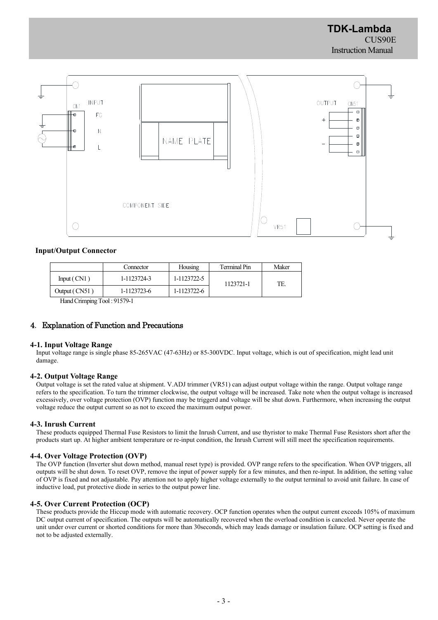

#### **Input/Output Connector**

|               | Connector   | Housing     | Terminal Pin | Maker |
|---------------|-------------|-------------|--------------|-------|
| Input(CN1)    | 1-1123724-3 | 1-1123722-5 | 1123721-1    | TE.   |
| Output (CN51) | 1-1123723-6 | 1-1123722-6 |              |       |

Hand Crimping Tool : 91579-1

#### 4.Explanation of Function and Precautions

#### **4-1. Input Voltage Range**

Input voltage range is single phase 85-265VAC (47-63Hz) or 85-300VDC. Input voltage, which is out of specification, might lead unit damage.

#### **4-2. Output Voltage Range**

Output voltage is set the rated value at shipment. V.ADJ trimmer (VR51) can adjust output voltage within the range. Output voltage range refers to the specification. To turn the trimmer clockwise, the output voltage will be increased. Take note when the output voltage is increased excessively, over voltage protection (OVP) function may be triggerd and voltage will be shut down. Furthermore, when increasing the output voltage reduce the output current so as not to exceed the maximum output power.

#### **4-3. Inrush Current**

These products equipped Thermal Fuse Resistors to limit the Inrush Current, and use thyristor to make Thermal Fuse Resistors short after the products start up. At higher ambient temperature or re-input condition, the Inrush Current will still meet the specification requirements.

#### **4-4. Over Voltage Protection (OVP)**

The OVP function (Inverter shut down method, manual reset type) is provided. OVP range refers to the specification. When OVP triggers, all outputs will be shut down. To reset OVP, remove the input of power supply for a few minutes, and then re-input. In addition, the setting value of OVP is fixed and not adjustable. Pay attention not to apply higher voltage externally to the output terminal to avoid unit failure. In case of inductive load, put protective diode in series to the output power line.

#### **4-5. Over Current Protection (OCP)**

These products provide the Hiccup mode with automatic recovery. OCP function operates when the output current exceeds 105% of maximum DC output current of specification. The outputs will be automatically recovered when the overload condition is canceled. Never operate the unit under over current or shorted conditions for more than 30seconds, which may leads damage or insulation failure. OCP setting is fixed and not to be adjusted externally.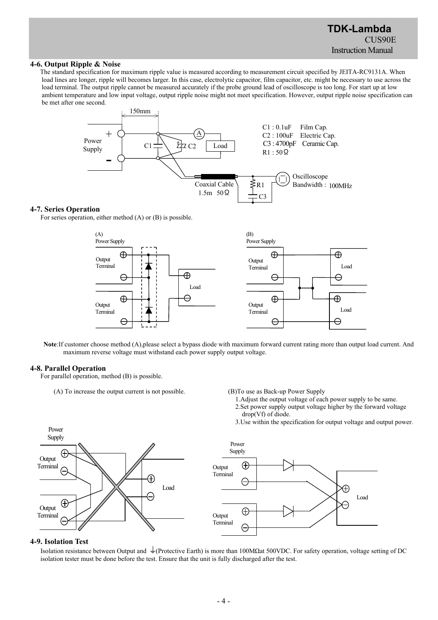#### **4-6. Output Ripple & Noise**

The standard specification for maximum ripple value is measured according to measurement circuit specified by JEITA-RC9131A. When load lines are longer, ripple will becomes larger. In this case, electrolytic capacitor, film capacitor, etc. might be necessary to use across the load terminal. The output ripple cannot be measured accurately if the probe ground lead of oscilloscope is too long. For start up at low ambient temperature and low input voltage, output ripple noise might not meet specification. However, output ripple noise specification can be met after one second.



#### **4-7. Series Operation**

For series operation, either method (A) or (B) is possible.



**Note**:If customer choose method (A),please select a bypass diode with maximum forward current rating more than output load current. And maximum reverse voltage must withstand each power supply output voltage.

#### **4-8. Parallel Operation**

Power

For parallel operation, method (B) is possible.

(A) To increase the output current is not possible. (B)To use as Back-up Power Supply

- 1.Adjust the output voltage of each power supply to be same.
- 2.Set power supply output voltage higher by the forward voltage
	- drop(Vf) of diode.
- 3.Use within the specification for output voltage and output power.



#### **4-9. Isolation Test**

Isolation resistance between Output and  $\perp$  (Protective Earth) is more than 100MΩat 500VDC. For safety operation, voltage setting of DC isolation tester must be done before the test. Ensure that the unit is fully discharged after the test.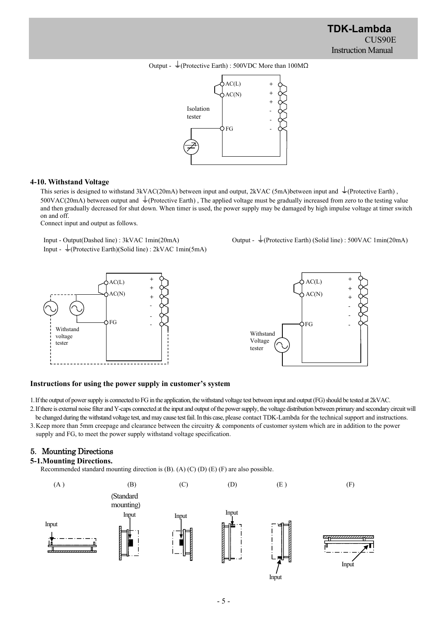



#### **4-10. Withstand Voltage**

This series is designed to withstand 3kVAC(20mA) between input and output, 2kVAC (5mA)between input and  $\pm$ (Protective Earth),  $500VAC(20mA)$  between output and  $\perp$  (Protective Earth). The applied voltage must be gradually increased from zero to the testing value and then gradually decreased for shut down. When timer is used, the power supply may be damaged by high impulse voltage at timer switch on and off.

Connect input and output as follows.

Input - Output(Dashed line) : 3kVAC 1min(20mA) Output -  $\frac{1}{2}$ (Protective Earth) (Solid line) : 500VAC 1min(20mA) Input -  $\frac{1}{2}$ (Protective Earth)(Solid line) : 2kVAC 1min(5mA)





#### **Instructions for using the power supply in customer's system**

1.If the output of power supply is connected to FG in the application, the withstand voltage test between input and output (FG) should be tested at 2kVAC.

2.If there is external noise filter and Y-caps connected at the input and output of the power supply, the voltage distribution between primary and secondary circuit will

be changed during the withstand voltage test, and may cause test fail. In this case, please contact TDK-Lambda for the technical support and instructions. 3.Keep more than 5mm creepage and clearance between the circuitry & components of customer system which are in addition to the power supply and FG, to meet the power supply withstand voltage specification.

## 5.Mounting Directions

#### **5-1.Mounting Directions.**

Recommended standard mounting direction is (B). (A) (C) (D) (E) (F) are also possible.

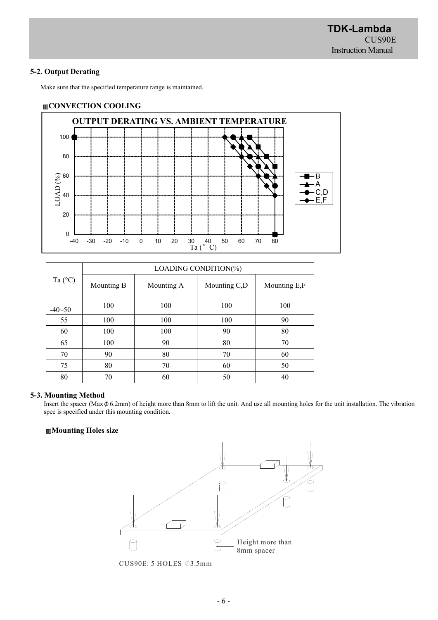## **5-2. Output Derating**

Make sure that the specified temperature range is maintained.

### ▥**CONVECTION COOLING**



|                  | LOADING CONDITION(%) |            |              |              |  |
|------------------|----------------------|------------|--------------|--------------|--|
| Ta $(^{\circ}C)$ | Mounting B           | Mounting A | Mounting C,D | Mounting E,F |  |
| $-40 - 50$       | 100                  | 100        | 100          | 100          |  |
| 55               | 100                  | 100        | 100          | 90           |  |
| 60               | 100                  | 100        | 90           | 80           |  |
| 65               | 100                  | 90         | 80           | 70           |  |
| 70               | 90                   | 80         | 70           | 60           |  |
| 75               | 80                   | 70         | 60           | 50           |  |
| 80               | 70                   | 60         | 50           | 40           |  |

## **5-3. Mounting Method**

Insert the spacer (Max $\phi$  6.2mm) of height more than 8mm to lift the unit. And use all mounting holes for the unit installation. The vibration spec is specified under this mounting condition.

## ▥**Mounting Holes size**



CUS90E: 5 HOLES  $\emptyset$ 3.5mm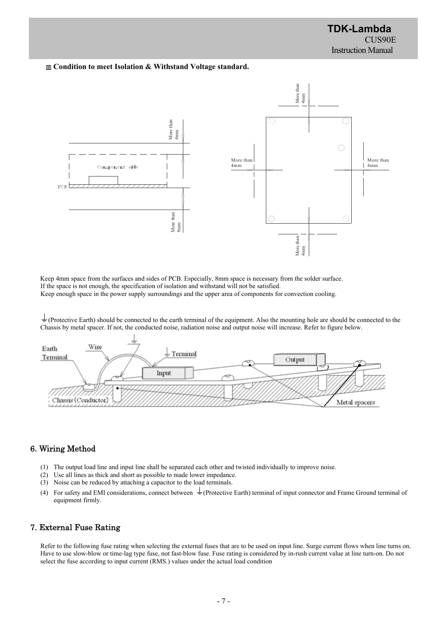#### ▥ **Condition to meet Isolation & Withstand Voltage standard.**



Keep 4mm space from the surfaces and sides of PCB. Especially, 8mm space is necessary from the solder surface. If the space is not enough, the specification of isolation and withstand will not be satisfied. Keep enough space in the power supply surroundings and the upper area of components for convection cooling.

 $\frac{1}{\sqrt{2}}$  (Protective Earth) should be connected to the earth terminal of the equipment. Also the mounting hole are should be connected to the Chassis by metal spacer. If not, the conducted noise, radiation noise and output noise will increase. Refer to figure below.



# 6. Wiring Method

- (1) The output load line and input line shall be separated each other and twisted individually to improve noise.
- (2) Use all lines as thick and short as possible to made lower impedance.
- (3) Noise can be reduced by attaching a capacitor to the load terminals.
- (4) For safety and EMI considerations, connect between  $\frac{1}{2}$  (Protective Earth) terminal of input connector and Frame Ground terminal of equipment firmly.

# 7. External Fuse Rating

Refer to the following fuse rating when selecting the external fuses that are to be used on input line. Surge current flows when line turns on. Have to use slow-blow or time-lag type fuse, not fast-blow fuse. Fuse rating is considered by in-rush current value at line turn-on. Do not select the fuse according to input current (RMS.) values under the actual load condition